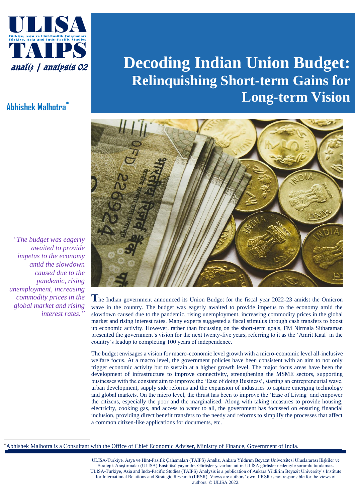

## **Abhishek Malhotra\***

*"The budget was eagerly awaited to provide impetus to the economy amid the slowdown caused due to the pandemic, rising unemployment, increasing commodity prices in the global market and rising interest rates."*

# **Decoding Indian Union Budget: Relinquishing Short-term Gains for Long-term Vision**



**T**he Indian government announced its Union Budget for the fiscal year 2022-23 amidst the Omicron wave in the country. The budget was eagerly awaited to provide impetus to the economy amid the slowdown caused due to the pandemic, rising unemployment, increasing commodity prices in the global market and rising interest rates. Many experts suggested a fiscal stimulus through cash transfers to boost up economic activity. However, rather than focussing on the short-term goals, FM Nirmala Sitharaman presented the government's vision for the next twenty-five years, referring to it as the 'Amrit Kaal' in the country's leadup to completing 100 years of independence.

The budget envisages a vision for macro-economic level growth with a micro-economic level all-inclusive welfare focus. At a macro level, the government policies have been consistent with an aim to not only trigger economic activity but to sustain at a higher growth level. The major focus areas have been the development of infrastructure to improve connectivity, strengthening the MSME sectors, supporting businesses with the constant aim to improve the 'Ease of doing Business', starting an entrepreneurial wave, urban development, supply side reforms and the expansion of industries to capture emerging technology and global markets. On the micro level, the thrust has been to improve the 'Ease of Living' and empower the citizens, especially the poor and the marginalised. Along with taking measures to provide housing, electricity, cooking gas, and access to water to all, the government has focussed on ensuring financial inclusion, providing direct benefit transfers to the needy and reforms to simplify the processes that affect a common citizen-like applications for documents, etc.

\*Abhishek Malhotra is a Consultant with the Office of Chief Economic Adviser, Ministry of Finance, Government of India.

ULIS

Stratejik Araştırmalar (ULİSA) Enstitüsü yayınıdır. Görüşler yazarlara aittir. ULİSA görüşler nedeniyle sorumlu tutulamaz. ULISA-Türkiye, Asia and Indo-Pacific Studies (TAIPS) Analysis is a publication of Ankara Yildirim Beyazit University's Institute ULİSA-Türkiye, Asya ve Hint-Pasifik Çalışmaları (TAIPS) Analiz, Ankara Yıldırım Beyazıt Üniversitesi Uluslararası İlişkiler ve for International Relations and Strategic Research (IIRSR). Views are authors' own. IIRSR is not responsible for the views of authors. © ULISA 2022.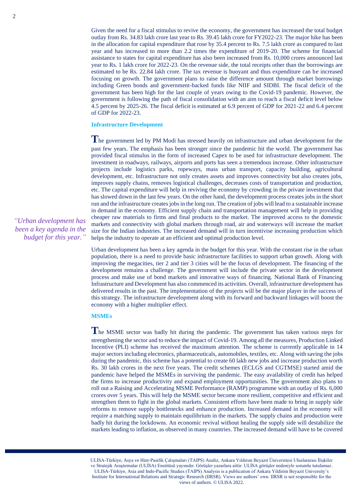Given the need for a fiscal stimulus to revive the economy, the government has increased the total budget outlay from Rs. 34.83 lakh crore last year to Rs. 39.45 lakh crore for FY2022-23. The major hike has been in the allocation for capital expenditure that rose by 35.4 percent to Rs. 7.5 lakh crore as compared to last year and has increased to more than 2.2 times the expenditure of 2019-20. The scheme for financial assistance to states for capital expenditure has also been increased from Rs. 10,000 crores announced last year to Rs. 1 lakh crore for 2022-23. On the revenue side, the total receipts other than the borrowings are estimated to be Rs. 22.84 lakh crore. The tax revenue is buoyant and thus expenditure can be increased focusing on growth. The government plans to raise the difference amount through market borrowings including Green bonds and government-backed funds like NIIF and SIDBI. The fiscal deficit of the government has been high for the last couple of years owing to the Covid-19 pandemic. However, the government is following the path of fiscal consolidation with an aim to reach a fiscal deficit level below 4.5 percent by 2025-26. The fiscal deficit is estimated at 6.9 percent of GDP for 2021-22 and 6.4 percent of GDP for 2022-23.

#### **Infrastructure Development**

The government led by PM Modi has stressed heavily on infrastructure and urban development for the past few years. The emphasis has been stronger since the pandemic hit the world. The government has provided fiscal stimulus in the form of increased Capex to be used for infrastructure development. The investment in roadways, railways, airports and ports has seen a tremendous increase. Other infrastructure projects include logistics parks, ropeways, mass urban transport, capacity building, agricultural development, etc. Infrastructure not only creates assets and improves connectivity but also creates jobs, improves supply chains, removes logistical challenges, decreases costs of transportation and production, etc. The capital expenditure will help in reviving the economy by crowding in the private investment that has slowed down in the last few years. On the other hand, the development process creates jobs in the short run and the infrastructure creates jobs in the long run. The creation of jobs will lead to a sustainable increase in demand in the economy. Efficient supply chain and transportation management will help in providing cheaper raw materials to firms and final products to the market. The improved access to the domestic markets and connectivity with global markets through road, air and waterways will increase the market size for the Indian industries. The increased demand will in turn incentivise increasing production which helps the industry to operate at an efficient and optimal production level.

Urban development has been a key agenda in the budget for this year. With the constant rise in the urban population, there is a need to provide basic infrastructure facilities to support urban growth. Along with improving the megacities, tier 2 and tier 3 cities will be the focus of development. The financing of the development remains a challenge. The government will include the private sector in the development process and make use of bond markets and innovative ways of financing. National Bank of Financing Infrastructure and Development has also commenced its activities. Overall, infrastructure development has delivered results in the past. The implementation of the projects will be the major player in the success of this strategy. The infrastructure development along with its forward and backward linkages will boost the economy with a higher multiplier effect.

#### **MSMEs**

The MSME sector was badly hit during the pandemic. The government has taken various steps for strengthening the sector and to reduce the impact of Covid-19. Among all the measures, Production Linked Incentive (PLI) scheme has received the maximum attention. The scheme is currently applicable in 14 major sectors including electronics, pharmaceuticals, automobiles, textiles, etc. Along with saving the jobs during the pandemic, this scheme has a potential to create 60 lakh new jobs and increase production worth Rs. 30 lakh crores in the next five years. The credit schemes (ECLGS and CGTMSE) started amid the pandemic have helped the MSMEs in surviving the pandemic. The easy availability of credit has helped the firms to increase productivity and expand employment opportunities. The government also plans to roll out a Raising and Accelerating MSME Performance (RAMP) programme with an outlay of Rs. 6,000 crores over 5 years. This will help the MSME sector become more resilient, competitive and efficient and strengthen them to fight in the global markets. Consistent efforts have been made to bring in supply side reforms to remove supply bottlenecks and enhance production. Increased demand in the economy will require a matching supply to maintain equilibrium in the markets. The supply chains and production were badly hit during the lockdowns. An economic revival without healing the supply side will destabilize the markets leading to inflation, as observed in many countries. The increased demand will have to be covered

ve Stratejik Araştırmalar (ULİSA) Enstitüsü yayınıdır. Görüşler yazarlara aittir. ULİSA görüşler nedeniyle sorumlu tutulamaz. ULISA-Türkiye, Asia and Indo-Pacific Studies (TAIPS) Analysis is a publication of Ankara Yildirim Beyazit University's ULİSA-Türkiye, Asya ve Hint-Pasifik Çalışmaları (TAIPS) Analiz, Ankara Yıldırım Beyazıt Üniversitesi Uluslararası İlişkiler Institute for International Relations and Strategic Research (IIRSR). Views are authors' own. IIRSR is not responsible for the views of authors. © ULISA 2022.

ULIS<br>ULIS

*"Urban development has been a key agenda in the budget for this year."*